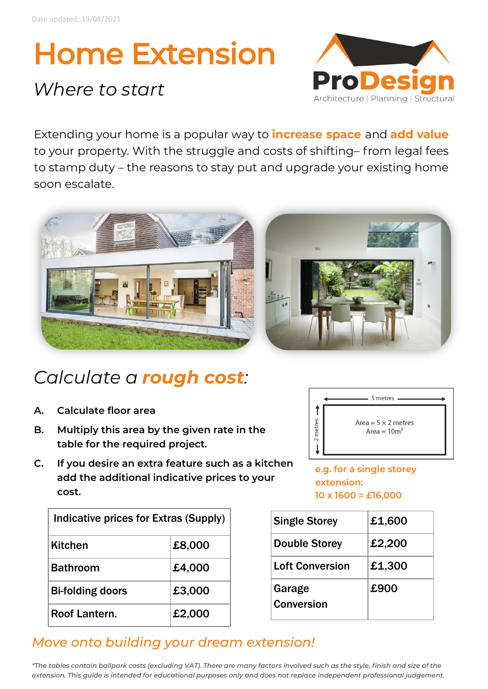# Home Extension

## *Where to start*



Extending your home is a popular way to **increase space** and **add value**  to your property. With the struggle and costs of shifting– from legal fees to stamp duty – the reasons to stay put and upgrade your existing home soon escalate.



### *Calculate a rough cost:*

- **A. Calculate floor area**
- **B. Multiply this area by the given rate in the table for the required project.**
- **C. If you desire an extra feature such as a kitchen add the additional indicative prices to your cost.**



**e.g. for a single storey extension: 10 x 1600 = £16,000**

| Indicative prices for Extras (Supply) |        |
|---------------------------------------|--------|
| <b>Kitchen</b>                        | £8,000 |
| <b>Bathroom</b>                       | £4,000 |
| <b>Bi-folding doors</b>               | £3,000 |
| Roof Lantern.                         | £2,000 |

| <b>Single Storey</b>        | £1,600 |
|-----------------------------|--------|
| <b>Double Storey</b>        | £2,200 |
| <b>Loft Conversion</b>      | £1,300 |
| Garage<br><b>Conversion</b> | £900   |

#### *Move onto building your dream extension!*

*\*The tables contain ballpark costs (excluding VAT). There are many factors involved such as the style, finish and size of the extension. This guide is intended for educational purposes only and does not replace independent professional judgement.*